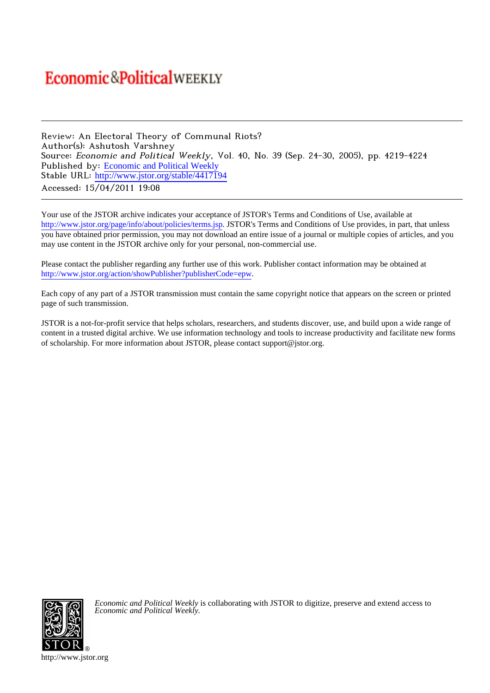## **Economic&PoliticalWEEKLY**

Review: An Electoral Theory of Communal Riots? Author(s): Ashutosh Varshney Source: Economic and Political Weekly, Vol. 40, No. 39 (Sep. 24-30, 2005), pp. 4219-4224 Published by: [Economic and Political Weekly](http://www.jstor.org/action/showPublisher?publisherCode=epw) Stable URL: [http://www.jstor.org/stable/4417194](http://www.jstor.org/stable/4417194?origin=JSTOR-pdf) Accessed: 15/04/2011 19:08

Your use of the JSTOR archive indicates your acceptance of JSTOR's Terms and Conditions of Use, available at <http://www.jstor.org/page/info/about/policies/terms.jsp>. JSTOR's Terms and Conditions of Use provides, in part, that unless you have obtained prior permission, you may not download an entire issue of a journal or multiple copies of articles, and you may use content in the JSTOR archive only for your personal, non-commercial use.

Please contact the publisher regarding any further use of this work. Publisher contact information may be obtained at [http://www.jstor.org/action/showPublisher?publisherCode=epw.](http://www.jstor.org/action/showPublisher?publisherCode=epw) .

Each copy of any part of a JSTOR transmission must contain the same copyright notice that appears on the screen or printed page of such transmission.

JSTOR is a not-for-profit service that helps scholars, researchers, and students discover, use, and build upon a wide range of content in a trusted digital archive. We use information technology and tools to increase productivity and facilitate new forms of scholarship. For more information about JSTOR, please contact support@jstor.org.



*Economic and Political Weekly* is collaborating with JSTOR to digitize, preserve and extend access to *Economic and Political Weekly.*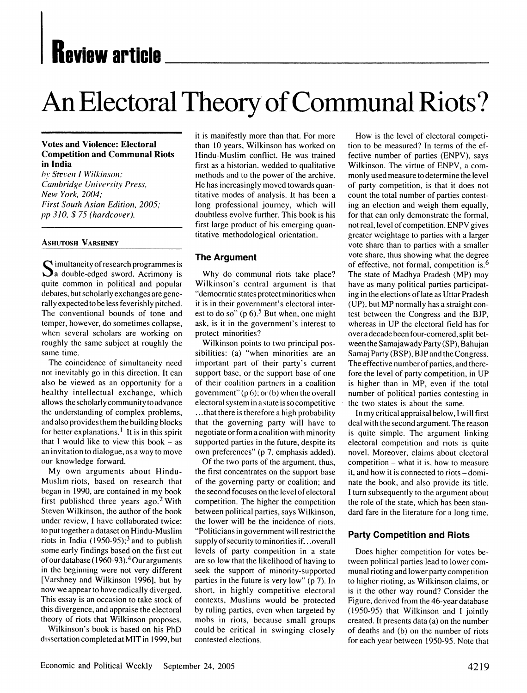## **Keview article**

# **An Electoral Theory of Communal Riots?**

#### **Votes and Violence: Electoral Competition and Communal Riots in India**

**/by Steven I Wilkinso;,' Cambridge University Press, New York, 2004; First South Asian Edition, 2005; pp 310, \$ 75 (hardcover).** 

#### **ASHUTOSH VARSHNEY**

**Q imultaneity of research programmes is da double-edged sword. Acrimony is quite common in political and popular debates, but scholarly exchanges are general ly expected to be less feverishly pitched. The conventional bounds of tone and temper, however, do sometimes collapse, when several scholars are working on roughly the same subject at roughly the same time.** 

**The coincidence of simultaneity need not inevitably go in this direction. It can also be viewed as an opportunity for a healthy intellectual exchange, which allows the scholarly community to advance the understanding of complex problems, and also provides them the building blocks for better explanations. ' It is in this spirit that I would like to view this book - as an invitation to dialogue, as a way to move our knowledge forward.** 

**My own arguments about Hindu-Muslim riots, based on research that began in 1990, are contained in my book first published three years ago.2 With Steven Wilkinson, the author of the book under review, I have collaborated twice: to put together a dataset on Hindu-Muslim**  riots in India  $(1950-95)$ ;<sup>3</sup> and to publish **some early findings based on the first cut of our database (1960-93).4 Our arguments in the beginning were not very different [Varshney and Wilkinson 1996], but by now we appear to have radically diverged. This essay is an occasion to take stock of this divergence, and appraise the electoral theory of riots that Wilkinson proposes.** 

**Wilkinson's book is based on his PhD dissertation completed at MIT in 1999, but** 

**it is manifestly more than that. For more than 10 years, Wilkinson has worked on Hindu-Muslim conflict. He was trained first as a historian, wedded to qualitative methods and to the power of the archive. He has increasingly moved towards quantitative modes of analysis. It has been a long professional journey, which will doubtless evolve further. This book is his first large product of his emerging quantitative methodological orientation.** 

#### **The Argument**

**Why do communal riots take place? Wilkinson's central argument is that "democratic states protect minorities when it is in their government's electoral interest to do so" (p 6).5 But when, one might ask, is it in the government's interest to protect minorities?** 

**Wilkinson points to two principal possibilities: (a) "when minorities are an important part of their party's current support base, or the support base of one of their coalition partners in a coalition government" (p 6); or (b) when the overall electoral system in a state is so competitive ...that there is therefore a high probability that the governing party will have to negotiate or form a coalition with minority supported parties in the future, despite its own preferences" (p 7, emphasis added).** 

**Of the two parts of the argument, thus, the first concentrates on the support base of the governing party or coalition; and the second focuses on the level of electoral competition. The higher the competition between political parties, says Wilkinson, the lower will be the incidence of riots. "Politicians in government will restrict the supply of security to minorities if.. .overall levels of party competition in a state are so low that the likelihood of having to seek the support of minority-supported parties in the future is very low" (p 7). In short, in highly competitive electoral contexts, Muslims would be protected by ruling parties, even when targeted by mobs in riots, because small groups could be critical in swinging closely contested elections.** 

**How is the level of electoral competition to be measured? In terms of the effective number of parties (ENPV), says Wilkinson. The virtue of ENPV, a commonly used measure to determine the level of party competition, is that it does not count the total number of parties contesting an election and weigh them equally, for that can only demonstrate the formal, not real, level of competition. ENPV gives greater weightage to parties with a larger vote share than to parties with a smaller vote share, thus showing what the degree of effective, not formal, competition is.6 The state of Madhya Pradesh (MP) may have as many political parties participating in the elections of late as Uttar Pradesh (UP), but MP normally has a straight contest between the Congress and the BJP, whereas in UP the electoral field has for over a decade been four-cornered, split between the Samajawady Party (SP), Bahujan Samaj Party (BSP), BJP and the Congress. The effective number of parties, and therefore the level of party competition, in UP is higher than in MP, even if the total number of political parties contesting in the two states is about the same.** 

**In my critical appraisal below, I will first deal with the second argument. The reason is quite simple. The argument linking electoral competition and riots is quite novel. Moreover, claims about electoral competition - what it is, how to measure it, and how it is connected to riots - dominate the book, and also provide its title. I turn subsequently to the argument about the role of the state, which has been standard fare in the literature for a long time.** 

#### **Party Competition and Riots**

**Does higher competition for votes between political parties lead to lower communal rioting and lower party competition to higher rioting, as Wilkinson claims, or is it the other way round? Consider the Figure, derived from the 46-year database (1950-95) that Wilkinson and I jointly created. It presents data (a) on the number of deaths and (b) on the number of riots for each year between 1950-95. Note that**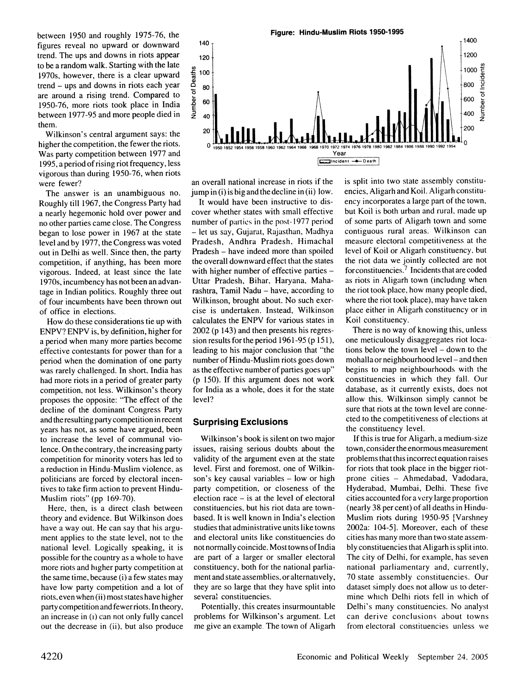**between 1950 and roughly 1975-76, the figures reveal no upward or downward trend. The ups and downs in riots appear to be a random walk. Starting with the late 1970s, however, there is a clear upward trend - ups and downs in riots each year are around a rising trend. Compared to 1950-76, more riots took place in India between 1977-95 and more people died in them.** 

**Wilkinson's central argument says: the higher the competition, the fewer the riots. Was party competition between 1977 and 1995, a period of rising riot frequency, less vigorous than during 1950-76, when riots were fewer?** 

**The answer is an unambiguous no. Roughly till 1967, the Congress Party had a nearly hegemonic hold over power and no other parties came close. The Congress began to lose power in 1967 at the state level and by 1977, the Congress was voted out in Delhi as well. Since then, the party competition, if anything, has been more vigorous. Indeed, at least since the late 1970s, incumbency has not been an advantage in Indian politics. Roughly three out of four incumbents have been thrown out of office in elections.** 

**How do these considerations tie up with ENPV? ENPV is, by definition, higher for a period when many more parties become effective contestants for power than for a period when the domination of one party was rarely challenged. In short. India has had more riots in a period of greater party competition, not less. Wilkinson's theory proposes the opposite: "The effect of the decline of the dominant Congress Party and the resulting party competition in recent years has not, as some have argued, been to increase the level of communal violence. On the contrary, the increasing party competition for minority voters has led to a reduction in Hindu-Muslim violence, as politicians are forced by electoral incentives to take firm action to prevent Hindu-Muslim riots" (pp 169-70).** 

**Here, then, is a direct clash between theory and evidence. But Wilkinson does have a way out. He can say that his argument applies to the state level, not to the national level. Logically speaking, it is possible for the country as a whole to have more riots and higher party competition at the same time, because (i) a few states may have low party competition and a lot of riots, even when (ii) most states have higher party competition and fewer riots. In theory, an increase in (i) can not only fully cancel out the decrease in (ii), but also produce** 



**an overall national increase in riots if the jump in (i) is big and the decline in (ii) low.** 

**It would have been instructive to discover whether states with small effective number of parties in the post-1977 period - let us say, Gujarat, Rajasthan, Madhya Pradesh, Andhra Pradesh, Himachal Pradesh - have indeed more than spoiled the overall downward effect that the states with higher number of effective parties - Uttar Pradesh, Bihar. Haryana. Maharashtra, Tamil Nadu - have, according to Wilkinson, brought about. No such exercise is undertaken. Instead, Wilkinson calculates the ENPV for various states in 2002 (p 143) and then presents his regression results for the period 1961-95 (p 151), leading to his major conclusion that "the number of Hindu-Muslim riots goes down as the effective number of parties goes up" (p 150). If this argument does not work for India as a whole, does it for the state level?** 

#### **Surprising Exclusions**

**Wilkinson's book is silent on two major issues, raising serious doubts about the validity of the argument even at the state level. First and foremost, one of Wilkinson's key causal variables - low or high party competition, or closeness of the election race - is at the level of electoral constituencies, but his riot data are townbased. It is well known in India's election studies that administrative units like towns and electoral units like constituencies do not normally coincide. Most towns of India are part of a larger or smaller electoral constituency, both for the national parliament and state assemblies, or alternatively, they are so large that they have split into several constituencies.** 

**Potentially, this creates insurmountable problems for Wilkinson's argument. Let me give an example. The town of Aligarh** 

**is split into two state assembly constituencies, Aligarh and Koil. Aligarh constituency incorporates a large part of the town, but Koil is both urban and rural, made up of some parts of Aligarh town and some contiguous rural areas. Wilkinson can measure electoral competitiveness at the level of Koil or Aligarh constituency, but the riot data we jointly collected are not forconstituencies.7 Incidents that are coded as riots in Aligarh town (including when the riot took place, how many people died, where the riot took place), may have taken place either in Aligarh constituency or in Koil constituency.** 

**There is no way of knowing this, unless one meticulously disaggregates riot locations below the town level - down to the mohalla or neighbourhood level - and then begins to map neighbourhoods with the constituencies in which they fall. Our database, as it currently exists, does not allow this. Wilkinson simply cannot be sure that riots at the town level are connected to the competitiveness of elections at the constituency level.** 

**If this is true for Aligarh, a medium-size town, consider the enormous measurement problems that this incorrect equation raises for riots that took place in the bigger riotprone cities - Ahmedabad, Vadodara, Hyderabad, Mumbai, Delhi. These five cities accounted for a very large proportion (nearly 38 percent) of all deaths in Hindu-Muslim riots during 1950-95 [Varshney 2002a: 104-5]. Moreover, each of these cities has many more than two state assembly constituencies that Aligarh is split into. The city of Delhi, for example, has seven national parliamentary and, currently, 70 state assembly constituencies. Our dataset simply does not allow us to determine which Delhi riots fell in which of Delhi's many constituencies. No analyst can derive conclusions about towns from electoral constituencies unless we**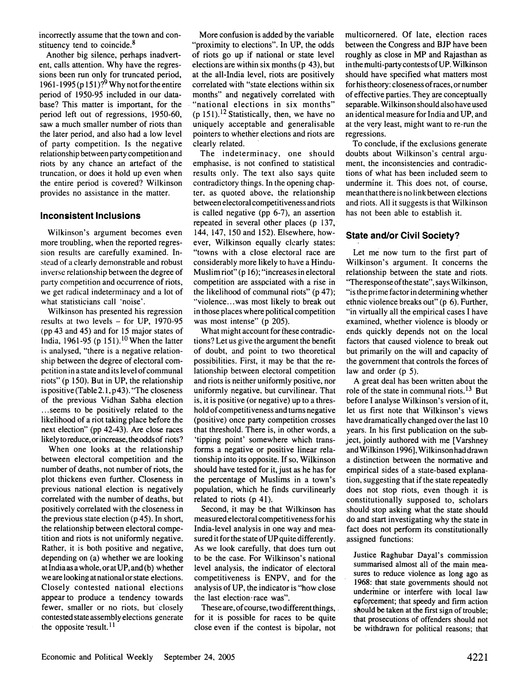**incorrectly assume that the town and constituency tend to coincide.8** 

**Another big silence, perhaps inadvertent, calls attention. Why have the regressions been run only for truncated period, 1961-1995 (p 151)?9 Why not for the entire period of 1950-95 included in our database? This matter is important, for the period left out of regressions, 1950-60, saw a much smaller number of riots than the later period, and also had a low level of party competition. Is the negative relationship between party competition and riots by any chance an artefact of the truncation, or does it hold up even when the entire period is covered? Wilkinson provides no assistance in the matter.** 

#### **Inconsistent Inclusions**

**Wilkinson's argument becomes even more troubling, when the reported regression results are carefully examined. Instead of a clearly demonstrable and robust inverse relationship between the degree of party competition and occurrence of riots, we get radical indeterminacy and a lot of what statisticians call 'noise'.** 

**Wilkinson has presented his regression results at two levels - for UP, 1970-95 (pp 43 and 45) and for 15 major states of India, 1961-95 (p 151).**<sup>10</sup> When the latter **is analysed, "there is a negative relationship between the degree of electoral competition in a state and its level of communal riots" (p 150). But in UP, the relationship is positive (Table 2.1, p 43). "The closeness of the previous Vidhan Sabha election ...seems to be positively related to the likelihood of a riot taking place before the next election" (pp 42-43). Are close races likely to reduce, orincrease, the odds of riots?** 

**When one looks at the relationship between electoral competition and the number of deaths, not number of riots, the plot thickens even further. Closeness in previous national election is negatively correlated with the number of deaths, but positively correlated with the closeness in the previous state election (p 45). In short, the relationship between electoral competition and riots is not uniformly negative. Rather, it is both positive and negative, depending on (a) whether we are looking at India as a whole, or at UP, and (b) whether we are looking at national or state elections. Closely contested national elections appearto produce a tendency towards fewer, smaller or no riots, but closely contested state assembly elections generate**  the opposite 'result.<sup>11</sup>

**More confusion is added by the variable "proximity to elections". In UP, the odds of riots go up if national or state level elections are within six months (p 43), but at the all-India level, riots are positively correlated with "state elections within six months" and negatively correlated with "national elections in six months" (p 151).12 Statistically, then, we have no uniquely acceptable and generalisable pointers to whether elections and riots are clearly related.** 

**The indeterminacy, one should emphasise, is not confined to statistical results only. The text also says quite contradictory things. In the opening chapter, as quoted above, the relationship between electoral competitiveness and riots is called negative (pp 6-7), an assertion repeated in several other places (p 137, 144, 147, 150 and 152). Elsewhere, however, Wilkinson equally clearly states: "towns with a close electoral race are considerably more likely to have a Hindu-Muslim riot" (p 16); "increases in electoral competition are associated with a rise in the likelihood of communal riots" (p 47); "'violence...was most likely to break out in those places where political competition was most intense" (p 205).** 

**What might account for these contradictions? Let us give the argument the benefit of doubt, and point to two theoretical possibilities. First, it may be that the relationship between electoral competition and riots is neither uniformly positive, nor uniformly negative, but curvilinear. That is, it is positive (or negative) up to a threshold of competitiveness and turns negative (positive) once party competition crosses that threshold. There is, in other words, a 'tipping point' somewhere which transforms a negative or positive linear relationship into its opposite. If so, Wilkinson should have tested for it, just as he has for the percentage of Muslims in a town's population, which he finds curvilinearly related to riots (p 41).** 

**Second, it may be that Wilkinson has measured electoral competitiveness for his India-level analysis in one way and measured it for the state of UP quite differently. As we look carefully, that does turn out to be the case. For Wilkinson's national level analysis, the indicator of electoral competitiveness is ENPV, and for the analysis of UP, the indicator is "how close the last election-race was".** 

**These are, of course, two different things, for it is possible for races to be quite close even if the contest is bipolar, not** 

**multicornered. Of late, election races between the Congress and BJP have been roughly as close in MP and Rajasthan as in the multi-party contests of UP. Wilkinson should have specified what matters most for his theory: closeness of races, or number of effective parties. They are conceptually separable. Wilkinson should also have used an identical measure for India and UP, and at the very least, might want to re-run the regressions.** 

**To conclude, if the exclusions generate doubts about Wilkinson's central argument, the inconsistencies and contradictions of what has been included seem to undermine it. This does not, of course, mean that there is no link between elections and riots. All it suggests is that Wilkinson has not been able to establish it.** 

#### **State and/or Civil Society?**

**Let me now turn to the first part of Wilkinson's argument. It concerns the relationship between the state and riots. "The response of the state", says Wilkinson, "is the prime factor in determining whether ethnic violence breaks out" (p 6). Further, "in virtually all the empirical cases I have examined, whether violence is bloody or ends quickly depends not on the local factors that caused violence to break out but primarily on the will and capacity of the government that controls the forces of law and order (p 5).** 

**A great deal has been written about the role of the state in communal riots.13 But before I analyse Wilkinson's version of it, let us first note that Wilkinson's views have dramatically changed over the last 10 years. In his first publication on the subject, jointly authored with me [Varshney and Wilkinson 1996], Wilkinson had drawn a distinction between the normative and empirical sides of a state-based explanation, suggesting that if the state repeatedly does not stop riots, even though it is constitutionally supposed to, scholars should stop asking what the state should do and start investigating why the state in fact does not perform its constitutionally assigned functions:** 

**Justice Raghubar Dayal's commission summarised almost all of the main measures to reduce violence as long ago as 1968: that state governments should not undermine or interfere with local law enforcement; that speedy and firm action should be taken at the first sign of trouble; that prosecutions of offenders should not be withdrawn for political reasons; that**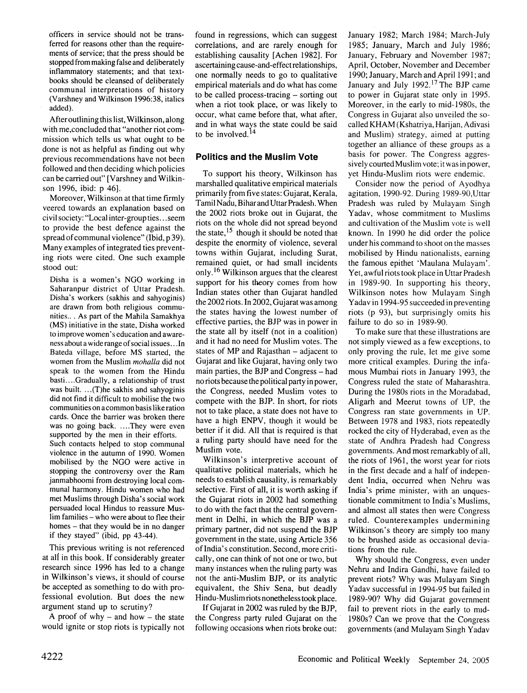**officers in service should not be transferred for reasons other than the requirements of service; that the press should be stopped from making false and deliberately inflammatory statements; and that textbooks should be cleansed of deliberately communal interpretations of history (Varshney and Wilkinson 1996:38, italics added).** 

**After outlining this list, Wilkinson, along with me,concluded that "another riot commission which tells us what ought to be done is not as helpful as finding out why previous recommendations have not been followed and then deciding which policies can be carried out" [Varshney and Wilkinson 1996, ibid: p 46].** 

**Moreover, Wilkinson at that time firmly veered towards an explanation based on civil society: "Local inter-group ties .. seem to provide the best defence against the spread of communal violence" (Ibid, p 39). Many examples of integrated ties preventing riots were cited. One such example stood out:** 

**Disha is a women's NGO working in Saharanpur district of Uttar Pradesh. Disha's workers (sakhis and sahyoginis) are drawn from both religious communities.. . As part of the Mahila Samakhya (MS) initiative in the state, Disha worked to improve women's education and awareness about a wide range of social issues .. .In Bateda village, before MS started, the women from the Muslim mohalla did not speak to the women from the Hindu basti....Gradually, a relationship of trust was built. ...(T)he sakhis and sahyoginis did not find it difficult to mobilise the two communities on a common basis like ration cards. Once the barrier was broken there was no going back ....They were even supported by the men in their efforts. Such contacts helped to stop communal violence in the autumn of 1990. Women mobilised by the NGO were active in stopping the controversy over the Ram janmabhoomi from destroying local communal harmony. Hindu women who had met Muslims through Disha's social work persuaded local Hindus to reassure Muslim families - who were about to flee their homes - that they would be in no danger if they stayed" (ibid, pp 43-44).** 

**This previous writing is not referenced at all in this book. If considerably greater research since 1996 has led to a change in Wilkinson's views, it should of course be accepted as something to do with professional evolution. But does the new argument stand up to scrutiny?** 

**A proof of why - and how - the state would ignite or stop riots is typically not** 

**found in regressions, which can suggest correlations, and are rarely enough for establishing causality [Achen 1982]. For ascertaining cause-and-effect relationships, one normally needs to go to qualitative empirical materials and do what has come to be called process-tracing - sorting out when a riot took place, or was likely to occur, what came before that, what after, and in what ways the state could be said to be involved.14** 

#### **Politics and the Muslim Vote**

**To support his theory, Wilkinson has marshalled qualitative empirical materials primarily from five states: Gujarat, Kerala, Tamil Nadu, Bihar and Uttar Pradesh. When the 2002 riots broke out in Gujarat, the riots on the whole did not spread beyond the state,15 though it should be noted that despite the enormity of violence, several towns within Gujarat, including Surat, remained quiet, or had small incidents only.16 Wilkinson argues that the clearest support for his theory comes from how Indian states other than Gujarat handled the 2002 riots. In 2002, Gujarat was among the states having the lowest number of effective parties, the BJP was in power in the state all by itself (not in a coalition) and it had no need for Muslim votes. The states of MP and Rajasthan - adjacent to Gujarat and like Gujarat, having only two main parties, the BJP and Congress - had no riots because the political party in power, the Congress, needed Muslim votes to compete with the BJP. In short, for riots not to take place, a state does not have to have a high ENPV, though it would be better if it did. All that is required is that a ruling party should have need for the Muslim vote.** 

**Wilkinson's interpretive account of qualitative political materials, which he needs to establish causality, is remarkably selective. First of all, it is worth asking if the Gujarat riots in 2002 had something to do with the fact that the central government in Delhi, in which the BJP was a primary partner, did not suspend the BJP government in the state, using Article 356 of India's constitution. Second, more critically, one can think of not one or two, but many instances when the ruling party was not the anti-Muslim BJP, or its analytic equivalent, the Shiv Sena, but deadly Hindu-Muslim riots nonetheless took place.** 

**If Gujarat in 2002 was ruled by the BJP, the Congress party ruled Gujarat on the following occasions when riots broke out:**  **January 1982; March 1984; March-July 1985; January, March and July 1986; January, February and November 1987; April, October, November and December 1990; January, March and April 1991; and January and July 1992.17 The BJP came to power in Gujarat state only in 1995. Moreover, in the early to mid-1980s, the Congress in Gujarat also unveiled the socalled KHAM (Kshatriya, Harijan, Adivasi and Muslim) strategy, aimed at putting together an alliance of these groups as a basis for power. The Congress aggressively courted Muslim vote; it was in power, yet Hindu-Muslim riots were endemic.** 

**Consider now the period of Ayodhya agitation, 1990-92. During 1989-90,Uttar Pradesh was ruled by Mulayam Singh Yadav, whose commitment to Muslims and cultivation of the Muslim vote is well known. In 1990 he did order the police under his command to shoot on the masses mobilised by Hindu nationalists, earning the famous epithet 'Maulana Mulayam'. Yet, awful riots took place in Uttar Pradesh in 1989-90. In supporting his theory, Wilkinson notes how Mulayam Singh Yadav in 1994-95 succeeded in preventing riots (p 93), but surprisingly omits his failure to do so in 1989-90.** 

**To make sure that these illustrations are not simply viewed as a few exceptions, to only proving the rule, let me give some more critical examples. During the infamous Mumbai riots in January 1993, the Congress ruled the state of Maharashtra. During the 1980s riots in the Moradabad, Aligarh and Meerut towns of UP, the Congress ran state governments in UP. Between 1978 and 1983, riots repeatedly rocked the city of Hyderabad, even as the state of Andhra Pradesh had Congress governments. And most remarkably of all, the riots of 1961, the worst year for riots in the first decade and a half of independent India, occurred when Nehru was India's prime minister, with an unquestionable commitment to India's Muslims, and almost all states then were Congress ruled. Counterexamples undermining Wilkinson's theory are simply too many to be brushed aside as occasional deviations from the rule.** 

**Why should the Congress, even under Nehru and Indira Gandhi, have failed to prevent riots? Why was Mulayam Singh Yadav successful in 1994-95 but failed in 1989-90? Why did Gujarat government**  fail to prevent riots in the early to mid-**1980s? Can we prove that the Congress governments (and Mulayam Singh Yadav**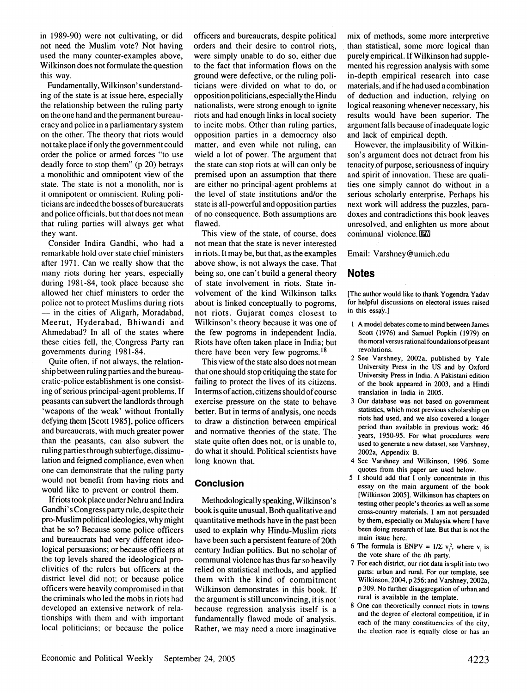**in 1989-90) were not cultivating, or did not need the Muslim vote? Not having used the many counter-examples above, Wilkinson does not formulate the question this way.** 

Fundamentally, Wilkinson's understand**ing of the state is at issue here, especially the relationship between the ruling party on the one hand and the permanent bureaucracy and police in a parliamentary system on the other. The theory that riots would not take place if only the government could order the police or armed forces "to use deadly force to stop them" (p 20) betrays a monolithic and omnipotent view of the state. The state is not a monolith, nor is it omnipotent or omniscient. Ruling politicians are indeed the bosses of bureaucrats and police officials, but that does not mean that ruling parties will always get what they want.** 

**Consider Indira Gandhi, who had a remarkable hold over state chief ministers after 1971. Can we really show that the many riots during her years, especially during 1981-84, took place because she allowed her chief ministers to order the police not to protect Muslims during riots - in the cities of Aligarh, Moradabad, Meerut, Hyderabad, Bhiwandi and Ahmedabad? In all of the states where these cities fell, the Congress Party ran governments during 1981-84.** 

**Quite often. if not always, the relationship between ruling parties and the bureaucratic-police establishment is one consisting of serious principal-agent problems. If peasants can subvert the landlords through 'weapons of the weak' without frontally defying them [Scott 1985], police officers and bureaucrats, with much greater power than the peasants, can also subvert the ruling parties through subterfuge, dissimulation and feigned compliance, even when one can demonstrate that the ruling party would not benefit from having riots and would like to prevent or control them.** 

**If riots took place under Nehru and Indira Gandhi's Congress party rule, despite their pro-Muslim political ideologies, why might that be so? Because some police officers and bureaucrats had very different ideological persuasions; or because officers at the top levels shared the ideological proclivities of the rulers but officers at the district level did not; or because police officers were heavily compromised in that the criminals who led the mobs in riots had developed an extensive network of relationships with them and with important local politicians; or because the police**  **officers and bureaucrats, despite political orders and their desire to control riots, were simply unable to do so, either due to the fact that information flows on the ground were defective, or the ruling politicians were divided on what to do, or opposition politicians, especially the Hindu nationalists, were strong enough to ignite riots and had enough links in local society to incite mobs. Other than ruling parties, opposition parties in a democracy also matter, and even while not ruling, can wield a lot of power. The argument that the state can stop riots at will can only be premised upon an assumption that there are either no principal-agent problems at the level of state institutions and/or the state is all-powerful and opposition parties of no consequence. Both assumptions are flawed.** 

**This view of the state, of course, does not mean that the state is never interested in riots. It may be, but that, as the examples above show, is not always the case. That being so, one can't build a general theory of state involvement in riots. State involvement of the kind Wilkinson talks about is linked conceptually to pogroms, not riots. Gujarat comes closest to Wilkinson's theory because it was one of the few pogroms in independent India. Riots have often taken place in India; but there have been very few pogroms.18** 

**This view of the state also does not mean that one should stop critiquing the state for failing to protect the lives of its citizens. In terms of action, citizens should of course exercise pressure on the state to behave better. But in terms of analysis, one needs to draw a distinction between empirical and normative theories of the state. The state quite often does not, or is unable to, do what it should. Political scientists have long known that.** 

#### **Conclusion**

**Methodologically speaking, Wilkinson's book is quite unusual. Both qualitative and quantitative methods have in the past been used to explain why Hindu-Muslim riots have been such a persistent feature of 20th century Indian politics. But no scholar of communal violence has thus far so heavily relied on statistical methods, and applied them with the kind of commitment Wilkinson demonstrates in this book. If the argument is still unconvincing, it is not because regression analysis itself is a fundamentally flawed mode of analysis. Rather, we may need a more imaginative** 

**mix of methods, some more interpretive than statistical, some more logical than purely empirical. If Wilkinson had supplemented his regression analysis with some in-depth empirical research into case materials, and if he had used a combination of deduction and induction, relying on logical reasoning whenever necessary, his results would have been superior. The argument falls because of inadequate logic and lack of empirical depth.** 

**However, the implausibility of Wilkinson's argument does not detract from his tenacity.of purpose, seriousness of inquiry and spirit of innovation. These are qualities one simply cannot do without in a serious scholarly enterprise. Perhaps his next work will address the puzzles, paradoxes and contradictions this book leaves unresolved, and enlighten us more about communal violence. Bl3** 

**Email: Varshney@umich.edu** 

#### **Notes**

**[The author would like to thank Yogendra Yadav for helpful discussions on electoral issues raised in this essay.]** 

- **1 A model debates come to mind between James Scott (1976) and Samuel Popkin (1979) on the moral versus rational foundations of peasant revolutions.**
- **2 See Varshney, 2002a, published by Yale University Press in the US and by Oxford University Press in India. A Pakistani edition of the book appeared in 2003, and a Hindi translation in India in 2005.**
- **3 Our database was not based on government statistics, which most previous scholarship on riots had used, and we also covered a longer period than available in previous work: 46 years, 1950-95. For what procedures were used to generate a new dataset, see Varshney, 2002a, Appendix B.**
- **4 See Varshney and Wilkinson, 1996. Some quotes from this paper are used below.**
- **5 I should add that I only concentrate in this essay on the main argument of the book [Wilkinson 2005]. Wilkinson has chapters on testing other people's theories as well as some cross-country materials. I am not persuaded by them, especially on Malaysia where I have been doing research of late. But that is not the main issue here.**
- 6 The formula is ENPV =  $1/\sum v_i^2$ , where  $v_i$  is **the vote share of the ith party.**
- **7 For each district, our riot data is split into two parts: urban and rural. For our template, see Wilkinson, 2004, p 256; and Varshney, 2002a, p 309. No further disaggregation of urban and rural is available in the template.**
- **8 One can theoretically connect riots in towns and the degree of electoral competition, if in each of the many constituencies of the city, the election race is equally close or has an**